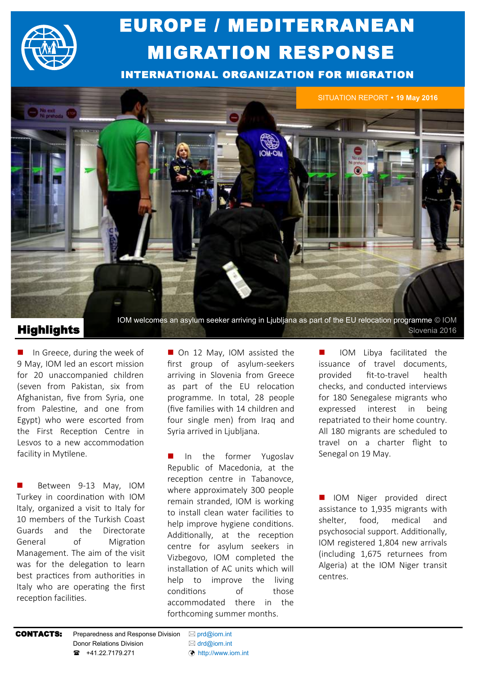

# EUROPE / MEDITERRANEAN MIGRATION RESPONSE

INTERNATIONAL ORGANIZATION FOR MIGRATION



## **Highlights** Slovenia 2016

 $\blacksquare$  In Greece, during the week of 9 May, IOM led an escort mission for 20 unaccompanied children (seven from Pakistan, six from Afghanistan, five from Syria, one from Palestine, and one from Egypt) who were escorted from the First Reception Centre in Lesvos to a new accommodation facility in Mytilene.

 Between 9-13 May, IOM Turkey in coordination with IOM Italy, organized a visit to Italy for 10 members of the Turkish Coast Guards and the Directorate General of Migration Management. The aim of the visit was for the delegation to learn best practices from authorities in Italy who are operating the first reception facilities.

■ On 12 May, IOM assisted the first group of asylum-seekers arriving in Slovenia from Greece as part of the EU relocation programme. In total, 28 people (five families with 14 children and four single men) from Iraq and Syria arrived in Ljubljana.

In the former Yugoslay Senegal on 19 May. Republic of Macedonia, at the reception centre in Tabanovce, where approximately 300 people remain stranded, IOM is working to install clean water facilities to help improve hygiene conditions. Additionally, at the reception centre for asylum seekers in Vizbegovo, IOM completed the installation of AC units which will help to improve the living conditions of those accommodated there in the forthcoming summer months.

 IOM Libya facilitated the issuance of travel documents, provided fit-to-travel health checks, and conducted interviews for 180 Senegalese migrants who expressed interest in being repatriated to their home country. All 180 migrants are scheduled to travel on a charter flight to

 IOM Niger provided direct assistance to 1,935 migrants with shelter, food, medical and psychosocial support. Additionally, IOM registered 1,804 new arrivals (including 1,675 returnees from Algeria) at the IOM Niger transit centres.

**CONTACTS:** Preparedness and Response Division  $\boxtimes$  [prd@iom.int](mailto:prd@IOM.INT) Donor Relations Division  $\boxtimes$  [drd@iom.int](mailto:DRD@IOM.INT) **■** +41.22.7179.271 ([http://www.iom.int](http://www.iom.int/countries/yemen)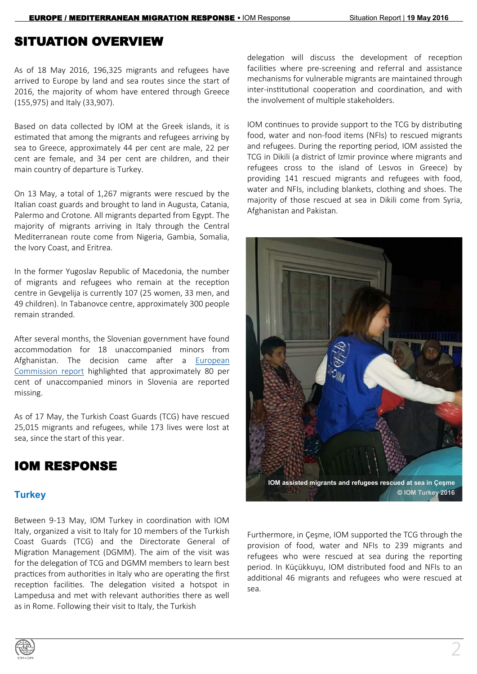# SITUATION OVERVIEW

As of 18 May 2016, 196,325 migrants and refugees have arrived to Europe by land and sea routes since the start of 2016, the majority of whom have entered through Greece (155,975) and Italy (33,907).

Based on data collected by IOM at the Greek islands, it is estimated that among the migrants and refugees arriving by sea to Greece, approximately 44 per cent are male, 22 per cent are female, and 34 per cent are children, and their main country of departure is Turkey.

On 13 May, a total of 1,267 migrants were rescued by the Italian coast guards and brought to land in Augusta, Catania, Palermo and Crotone. All migrants departed from Egypt. The majority of migrants arriving in Italy through the Central Mediterranean route come from Nigeria, Gambia, Somalia, the Ivory Coast, and Eritrea.

In the former Yugoslav Republic of Macedonia, the number of migrants and refugees who remain at the reception centre in Gevgelija is currently 107 (25 women, 33 men, and 49 children). In Tabanovce centre, approximately 300 people remain stranded.

After several months, the Slovenian government have found accommodation for 18 unaccompanied minors from Afghanistan. The decision came after a [European](http://ec.europa.eu/justice/fundamental-rights/files/rights_child/data_children_in_migration.pdf)  [Commission report](http://ec.europa.eu/justice/fundamental-rights/files/rights_child/data_children_in_migration.pdf) highlighted that approximately 80 per cent of unaccompanied minors in Slovenia are reported missing.

As of 17 May, the Turkish Coast Guards (TCG) have rescued 25,015 migrants and refugees, while 173 lives were lost at sea, since the start of this year.

# IOM RESPONSE

### **Turkey**

Between 9-13 May, IOM Turkey in coordination with IOM Italy, organized a visit to Italy for 10 members of the Turkish Coast Guards (TCG) and the Directorate General of Migration Management (DGMM). The aim of the visit was for the delegation of TCG and DGMM members to learn best practices from authorities in Italy who are operating the first reception facilities. The delegation visited a hotspot in Lampedusa and met with relevant authorities there as well as in Rome. Following their visit to Italy, the Turkish

delegation will discuss the development of reception facilities where pre-screening and referral and assistance mechanisms for vulnerable migrants are maintained through inter-institutional cooperation and coordination, and with the involvement of multiple stakeholders.

IOM continues to provide support to the TCG by distributing food, water and non-food items (NFIs) to rescued migrants and refugees. During the reporting period, IOM assisted the TCG in Dikili (a district of Izmir province where migrants and refugees cross to the island of Lesvos in Greece) by providing 141 rescued migrants and refugees with food, water and NFIs, including blankets, clothing and shoes. The majority of those rescued at sea in Dikili come from Syria, Afghanistan and Pakistan.



Furthermore, in Çeşme, IOM supported the TCG through the provision of food, water and NFIs to 239 migrants and refugees who were rescued at sea during the reporting period. In Küçükkuyu, IOM distributed food and NFIs to an additional 46 migrants and refugees who were rescued at sea.

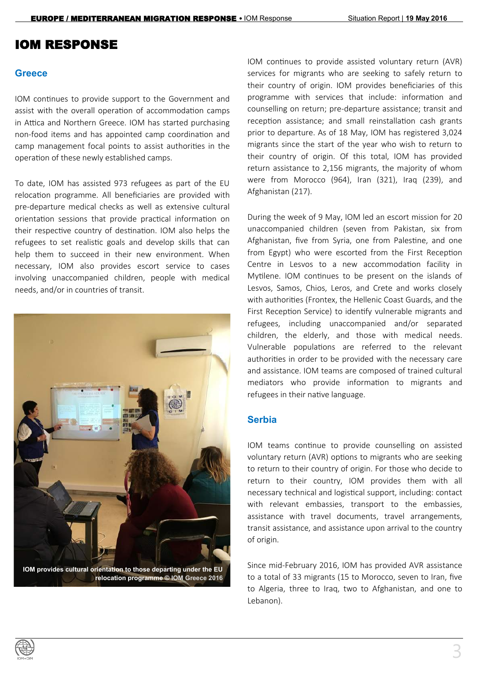# IOM RESPONSE

### **Greece**

IOM continues to provide support to the Government and assist with the overall operation of accommodation camps in Attica and Northern Greece. IOM has started purchasing non-food items and has appointed camp coordination and camp management focal points to assist authorities in the operation of these newly established camps.

To date, IOM has assisted 973 refugees as part of the EU relocation programme. All beneficiaries are provided with pre-departure medical checks as well as extensive cultural orientation sessions that provide practical information on their respective country of destination. IOM also helps the refugees to set realistic goals and develop skills that can help them to succeed in their new environment. When necessary, IOM also provides escort service to cases involving unaccompanied children, people with medical needs, and/or in countries of transit.



**relocation programme © IOM Greece 2016**

IOM continues to provide assisted voluntary return (AVR) services for migrants who are seeking to safely return to their country of origin. IOM provides beneficiaries of this programme with services that include: information and counselling on return; pre-departure assistance; transit and reception assistance; and small reinstallation cash grants prior to departure. As of 18 May, IOM has registered 3,024 migrants since the start of the year who wish to return to their country of origin. Of this total, IOM has provided return assistance to 2,156 migrants, the majority of whom were from Morocco (964), Iran (321), Iraq (239), and Afghanistan (217).

During the week of 9 May, IOM led an escort mission for 20 unaccompanied children (seven from Pakistan, six from Afghanistan, five from Syria, one from Palestine, and one from Egypt) who were escorted from the First Reception Centre in Lesvos to a new accommodation facility in Mytilene. IOM continues to be present on the islands of Lesvos, Samos, Chios, Leros, and Crete and works closely with authorities (Frontex, the Hellenic Coast Guards, and the First Reception Service) to identify vulnerable migrants and refugees, including unaccompanied and/or separated children, the elderly, and those with medical needs. Vulnerable populations are referred to the relevant authorities in order to be provided with the necessary care and assistance. IOM teams are composed of trained cultural mediators who provide information to migrants and refugees in their native language.

### **Serbia**

IOM teams continue to provide counselling on assisted voluntary return (AVR) options to migrants who are seeking to return to their country of origin. For those who decide to return to their country, IOM provides them with all necessary technical and logistical support, including: contact with relevant embassies, transport to the embassies, assistance with travel documents, travel arrangements, transit assistance, and assistance upon arrival to the country of origin.

Since mid-February 2016, IOM has provided AVR assistance to a total of 33 migrants (15 to Morocco, seven to Iran, five to Algeria, three to Iraq, two to Afghanistan, and one to Lebanon).

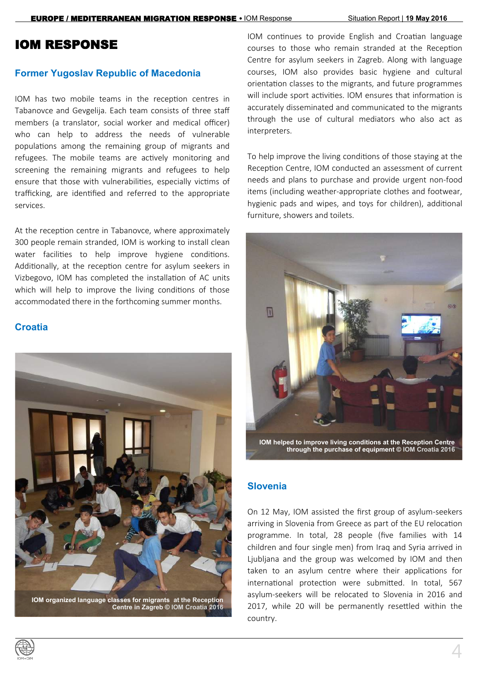## IOM RESPONSE

### **Former Yugoslav Republic of Macedonia**

IOM has two mobile teams in the reception centres in Tabanovce and Gevgelija. Each team consists of three staff members (a translator, social worker and medical officer) who can help to address the needs of vulnerable populations among the remaining group of migrants and refugees. The mobile teams are actively monitoring and screening the remaining migrants and refugees to help ensure that those with vulnerabilities, especially victims of trafficking, are identified and referred to the appropriate services.

At the reception centre in Tabanovce, where approximately 300 people remain stranded, IOM is working to install clean water facilities to help improve hygiene conditions. Additionally, at the reception centre for asylum seekers in Vizbegovo, IOM has completed the installation of AC units which will help to improve the living conditions of those accommodated there in the forthcoming summer months.

### **Croatia**



IOM continues to provide English and Croatian language courses to those who remain stranded at the Reception Centre for asylum seekers in Zagreb. Along with language courses, IOM also provides basic hygiene and cultural orientation classes to the migrants, and future programmes will include sport activities. IOM ensures that information is accurately disseminated and communicated to the migrants through the use of cultural mediators who also act as interpreters.

To help improve the living conditions of those staying at the Reception Centre, IOM conducted an assessment of current needs and plans to purchase and provide urgent non-food items (including weather-appropriate clothes and footwear, hygienic pads and wipes, and toys for children), additional furniture, showers and toilets.



**Slovenia**

On 12 May, IOM assisted the first group of asylum-seekers arriving in Slovenia from Greece as part of the EU relocation programme. In total, 28 people (five families with 14 children and four single men) from Iraq and Syria arrived in Ljubljana and the group was welcomed by IOM and then taken to an asylum centre where their applications for international protection were submitted. In total, 567 asylum-seekers will be relocated to Slovenia in 2016 and 2017, while 20 will be permanently resettled within the country.

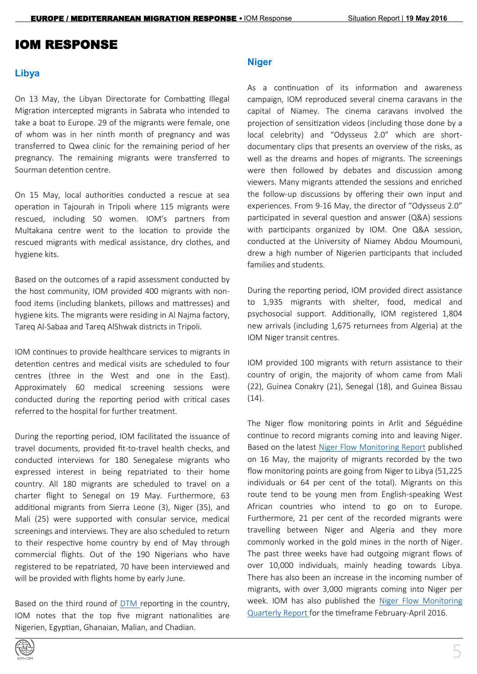## IOM RESPONSE

### **Libya**

On 13 May, the Libyan Directorate for Combatting Illegal Migration intercepted migrants in Sabrata who intended to take a boat to Europe. 29 of the migrants were female, one of whom was in her ninth month of pregnancy and was transferred to Qwea clinic for the remaining period of her pregnancy. The remaining migrants were transferred to Sourman detention centre.

On 15 May, local authorities conducted a rescue at sea operation in Tajourah in Tripoli where 115 migrants were rescued, including 50 women. IOM's partners from Multakana centre went to the location to provide the rescued migrants with medical assistance, dry clothes, and hygiene kits.

Based on the outcomes of a rapid assessment conducted by the host community, IOM provided 400 migrants with nonfood items (including blankets, pillows and mattresses) and hygiene kits. The migrants were residing in Al Najma factory, Tareq Al-Sabaa and Tareq AlShwak districts in Tripoli.

IOM continues to provide healthcare services to migrants in detention centres and medical visits are scheduled to four centres (three in the West and one in the East). Approximately 60 medical screening sessions were conducted during the reporting period with critical cases referred to the hospital for further treatment.

During the reporting period, IOM facilitated the issuance of travel documents, provided fit-to-travel health checks, and conducted interviews for 180 Senegalese migrants who expressed interest in being repatriated to their home country. All 180 migrants are scheduled to travel on a charter flight to Senegal on 19 May. Furthermore, 63 additional migrants from Sierra Leone (3), Niger (35), and Mali (25) were supported with consular service, medical screenings and interviews. They are also scheduled to return to their respective home country by end of May through commercial flights. Out of the 190 Nigerians who have registered to be repatriated, 70 have been interviewed and will be provided with flights home by early June.

Based on the third round of [DTM re](http://reliefweb.int/sites/reliefweb.int/files/resources/3%20-%2016%20May%20DTM%20Libya.pdf)porting in the country, IOM notes that the top five migrant nationalities are Nigerien, Egyptian, Ghanaian, Malian, and Chadian.



As a continuation of its information and awareness campaign, IOM reproduced several cinema caravans in the capital of Niamey. The cinema caravans involved the projection of sensitization videos (including those done by a local celebrity) and "Odysseus 2.0" which are shortdocumentary clips that presents an overview of the risks, as well as the dreams and hopes of migrants. The screenings were then followed by debates and discussion among viewers. Many migrants attended the sessions and enriched the follow-up discussions by offering their own input and experiences. From 9-16 May, the director of "Odysseus 2.0" participated in several question and answer (Q&A) sessions with participants organized by IOM. One Q&A session, conducted at the University of Niamey Abdou Moumouni, drew a high number of Nigerien participants that included families and students.

During the reporting period, IOM provided direct assistance to 1,935 migrants with shelter, food, medical and psychosocial support. Additionally, IOM registered 1,804 new arrivals (including 1,675 returnees from Algeria) at the IOM Niger transit centres.

IOM provided 100 migrants with return assistance to their country of origin, the majority of whom came from Mali (22), Guinea Conakry (21), Senegal (18), and Guinea Bissau (14).

The Niger flow monitoring points in Arlit and Séguédine continue to record migrants coming into and leaving Niger. Based on the latest [Niger Flow Monitoring Report](http://dtmodk.iom.int/docs/Niger%20FMP%20EN%20and%20FR%20Report%2010-17%20May%202016.pdf) published on 16 May, the majority of migrants recorded by the two flow monitoring points are going from Niger to Libya (51,225 individuals or 64 per cent of the total). Migrants on this route tend to be young men from English-speaking West African countries who intend to go on to Europe. Furthermore, 21 per cent of the recorded migrants were travelling between Niger and Algeria and they more commonly worked in the gold mines in the north of Niger. The past three weeks have had outgoing migrant flows of over 10,000 individuals, mainly heading towards Libya. There has also been an increase in the incoming number of migrants, with over 3,000 migrants coming into Niger per week. IOM has also published the [Niger Flow Monitoring](http://dtmodk.iom.int/docs/Niger%20Flow%20Monitoring%20Feb-April%202016%20Report%20EN.pdf)  [Quarterly Report fo](http://dtmodk.iom.int/docs/Niger%20Flow%20Monitoring%20Feb-April%202016%20Report%20EN.pdf)r the timeframe February-April 2016.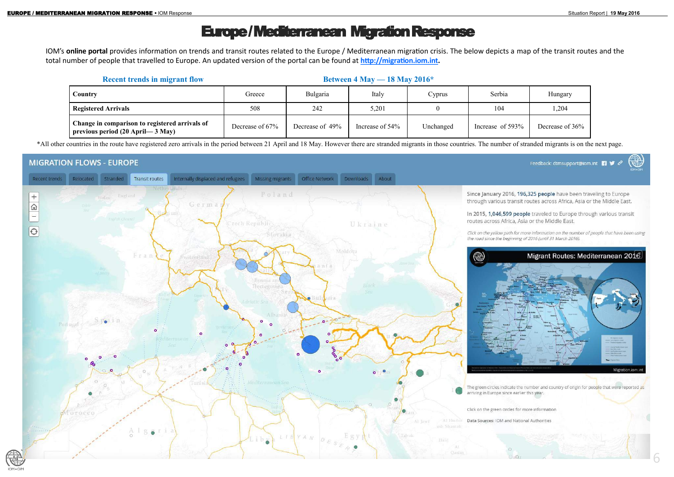# Europe / Mediterranean Migration Response

6

IOM's **online portal** provides information on trends and transit routes related to the Europe / Mediterranean migration crisis. The below depicts a map of the transit routes and the total number of people that travelled to Europe. An updated version of the portal can be found at **[http://migration.iom.int.](http://migration.iom.int)** 

\*All other countries in the route have registered zero arrivals in the period between 21 April and 18 May. However there are stranded migrants in those countries. The number of stranded migrants is on the next page.

### **MIGRATION FLOWS - EUROPE**





| <b>Recent trends in migrant flow</b>                                                    | Between $4$ May $- 18$ May $2016*$ |                 |                 |           |                     |                 |
|-----------------------------------------------------------------------------------------|------------------------------------|-----------------|-----------------|-----------|---------------------|-----------------|
| Country                                                                                 | Greece                             | Bulgaria        | Italy           | Cyprus    | Serbia              | Hungary         |
| <b>Registered Arrivals</b>                                                              | 508                                | 242             | 5,201           |           | 104                 | 1,204           |
| Change in comparison to registered arrivals of<br>  previous period $(20$ April— 3 May) | Decrease of 67%                    | Decrease of 49% | Increase of 54% | Unchanged | Increase of $593\%$ | Decrease of 36% |